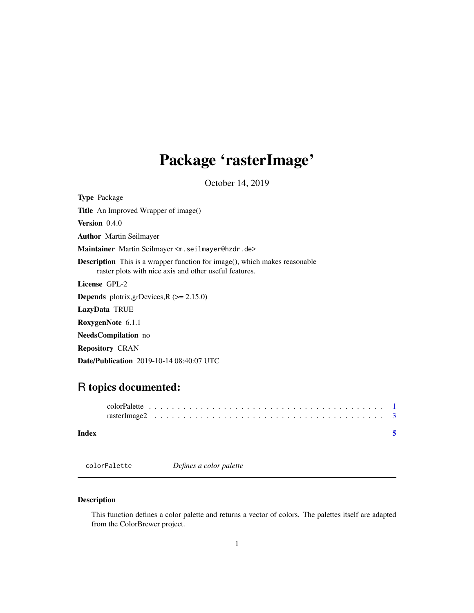## <span id="page-0-0"></span>Package 'rasterImage'

October 14, 2019

<span id="page-0-1"></span>Type Package

Title An Improved Wrapper of image()

Version 0.4.0

Author Martin Seilmayer

Maintainer Martin Seilmayer <m.seilmayer@hzdr.de>

Description This is a wrapper function for image(), which makes reasonable raster plots with nice axis and other useful features.

License GPL-2

**Depends** plotrix, grDevices,  $R$  ( $>= 2.15.0$ )

LazyData TRUE

RoxygenNote 6.1.1

NeedsCompilation no

Repository CRAN

Date/Publication 2019-10-14 08:40:07 UTC

### R topics documented:

colorPalette *Defines a color palette*

#### Description

This function defines a color palette and returns a vector of colors. The palettes itself are adapted from the ColorBrewer project.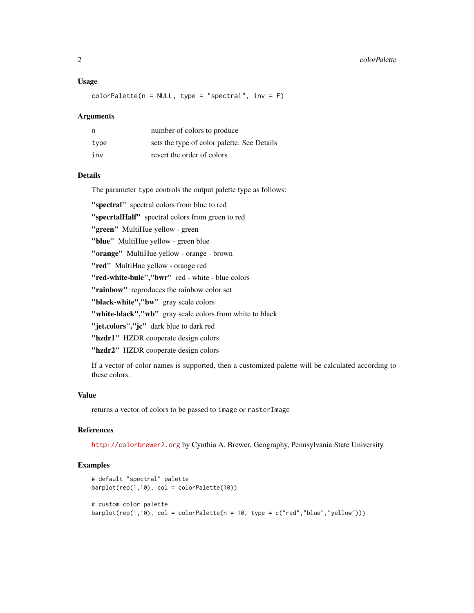#### Usage

 $colorPalette(n = NULL, type = "spectral", inv = F)$ 

#### Arguments

| n    | number of colors to produce                 |
|------|---------------------------------------------|
| type | sets the type of color palette. See Details |
| inv  | revert the order of colors                  |

#### Details

The parameter type controls the output palette type as follows:

"spectral" spectral colors from blue to red

"specrtalHalf" spectral colors from green to red

"green" MultiHue yellow - green

"blue" MultiHue yellow - green blue

"orange" MultiHue yellow - orange - brown

"red" MultiHue yellow - orange red

"red-white-bule","bwr" red - white - blue colors

"rainbow" reproduces the rainbow color set

"black-white","bw" gray scale colors

"white-black","wb" gray scale colors from white to black

"jet.colors","jc" dark blue to dark red

"hzdr1" HZDR cooperate design colors

"hzdr2" HZDR cooperate design colors

If a vector of color names is supported, then a customized palette will be calculated according to these colors.

#### Value

returns a vector of colors to be passed to image or rasterImage

#### References

<http://colorbrewer2.org> by Cynthia A. Brewer, Geography, Pennsylvania State University

#### Examples

```
# default "spectral" palette
barplot(rep(1,10), col = colorPalette(10))
# custom color palette
barplot(rep(1,10), col = colorPalette(n = 10, type = c("red", "blue", "yellow"))
```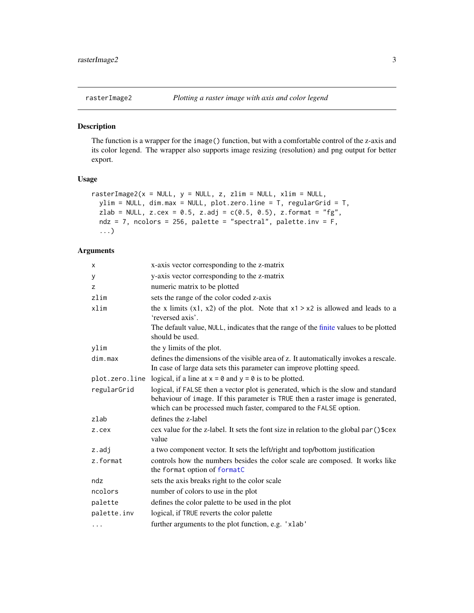<span id="page-2-0"></span>

#### Description

The function is a wrapper for the image() function, but with a comfortable control of the z-axis and its color legend. The wrapper also supports image resizing (resolution) and png output for better export.

#### Usage

```
rasterImage2(x = NULL, y = NULL, z, zlim = NULL, xlim = NULL,
 ylim = NULL, dim.max = NULL, plot.zero.line = T, regularGrid = T,
 zlab = NULL, z.cex = 0.5, z.adj = c(0.5, 0.5), z.format = "fg",
 ndz = 7, ncolors = 256, palette = "spectral", palette.inv = F,
  ...)
```
#### Arguments

| X              | x-axis vector corresponding to the z-matrix                                                                                                                                                                                               |
|----------------|-------------------------------------------------------------------------------------------------------------------------------------------------------------------------------------------------------------------------------------------|
| у              | y-axis vector corresponding to the z-matrix                                                                                                                                                                                               |
| z              | numeric matrix to be plotted                                                                                                                                                                                                              |
| zlim           | sets the range of the color coded z-axis                                                                                                                                                                                                  |
| xlim           | the x limits $(x1, x2)$ of the plot. Note that $x1 > x2$ is allowed and leads to a<br>'reversed axis'.                                                                                                                                    |
|                | The default value, NULL, indicates that the range of the finite values to be plotted<br>should be used.                                                                                                                                   |
| ylim           | the y limits of the plot.                                                                                                                                                                                                                 |
| dim.max        | defines the dimensions of the visible area of z. It automatically invokes a rescale.<br>In case of large data sets this parameter can improve plotting speed.                                                                             |
| plot.zero.line | logical, if a line at $x = 0$ and $y = 0$ is to be plotted.                                                                                                                                                                               |
| regularGrid    | logical, if FALSE then a vector plot is generated, which is the slow and standard<br>behaviour of image. If this parameter is TRUE then a raster image is generated,<br>which can be processed much faster, compared to the FALSE option. |
| zlab           | defines the z-label                                                                                                                                                                                                                       |
| z.cex          | cex value for the z-label. It sets the font size in relation to the global par () \$cex<br>value                                                                                                                                          |
| $z$ .adj       | a two component vector. It sets the left/right and top/bottom justification                                                                                                                                                               |
| z.format       | controls how the numbers besides the color scale are composed. It works like<br>the format option of formatC                                                                                                                              |
| ndz            | sets the axis breaks right to the color scale                                                                                                                                                                                             |
| ncolors        | number of colors to use in the plot                                                                                                                                                                                                       |
| palette        | defines the color palette to be used in the plot                                                                                                                                                                                          |
| palette.inv    | logical, if TRUE reverts the color palette                                                                                                                                                                                                |
| $\cdots$       | further arguments to the plot function, e.g. 'xlab'                                                                                                                                                                                       |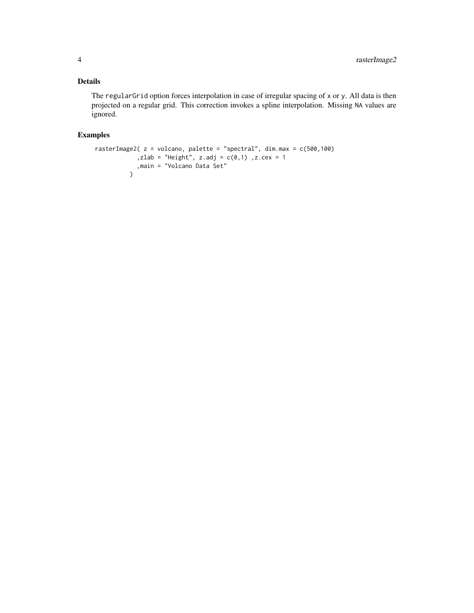#### Details

The regularGrid option forces interpolation in case of irregular spacing of x or y. All data is then projected on a regular grid. This correction invokes a spline interpolation. Missing NA values are ignored.

#### Examples

```
rasterImage2( z = volcano, palette = "spectral", dim.max = c(500,100)
            ,zlab = "Height", z.adj = c(0,1) ,z.cex = 1
            ,main = "Volcano Data Set"
          \mathcal{L}
```